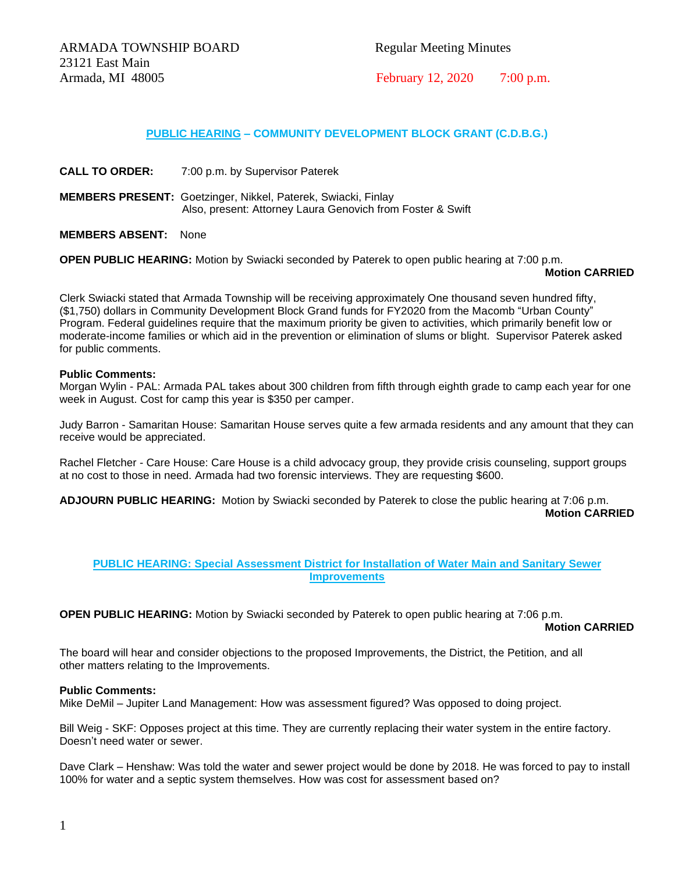## **PUBLIC HEARING – COMMUNITY DEVELOPMENT BLOCK GRANT (C.D.B.G.)**

**CALL TO ORDER:** 7:00 p.m. by Supervisor Paterek

**MEMBERS PRESENT:** Goetzinger, Nikkel, Paterek, Swiacki, Finlay Also, present: Attorney Laura Genovich from Foster & Swift

**MEMBERS ABSENT:** None

**OPEN PUBLIC HEARING:** Motion by Swiacki seconded by Paterek to open public hearing at 7:00 p.m.

## **Motion CARRIED**

Clerk Swiacki stated that Armada Township will be receiving approximately One thousand seven hundred fifty, (\$1,750) dollars in Community Development Block Grand funds for FY2020 from the Macomb "Urban County" Program. Federal guidelines require that the maximum priority be given to activities, which primarily benefit low or moderate-income families or which aid in the prevention or elimination of slums or blight. Supervisor Paterek asked for public comments.

## **Public Comments:**

Morgan Wylin - PAL: Armada PAL takes about 300 children from fifth through eighth grade to camp each year for one week in August. Cost for camp this year is \$350 per camper.

Judy Barron - Samaritan House: Samaritan House serves quite a few armada residents and any amount that they can receive would be appreciated.

Rachel Fletcher - Care House: Care House is a child advocacy group, they provide crisis counseling, support groups at no cost to those in need. Armada had two forensic interviews. They are requesting \$600.

**ADJOURN PUBLIC HEARING:** Motion by Swiacki seconded by Paterek to close the public hearing at 7:06 p.m.

**Motion CARRIED**

## **PUBLIC HEARING: Special Assessment District for Installation of Water Main and Sanitary Sewer Improvements**

**OPEN PUBLIC HEARING:** Motion by Swiacki seconded by Paterek to open public hearing at 7:06 p.m.

 **Motion CARRIED**

The board will hear and consider objections to the proposed Improvements, the District, the Petition, and all other matters relating to the Improvements.

## **Public Comments:**

Mike DeMil – Jupiter Land Management: How was assessment figured? Was opposed to doing project.

Bill Weig - SKF: Opposes project at this time. They are currently replacing their water system in the entire factory. Doesn't need water or sewer.

Dave Clark – Henshaw: Was told the water and sewer project would be done by 2018. He was forced to pay to install 100% for water and a septic system themselves. How was cost for assessment based on?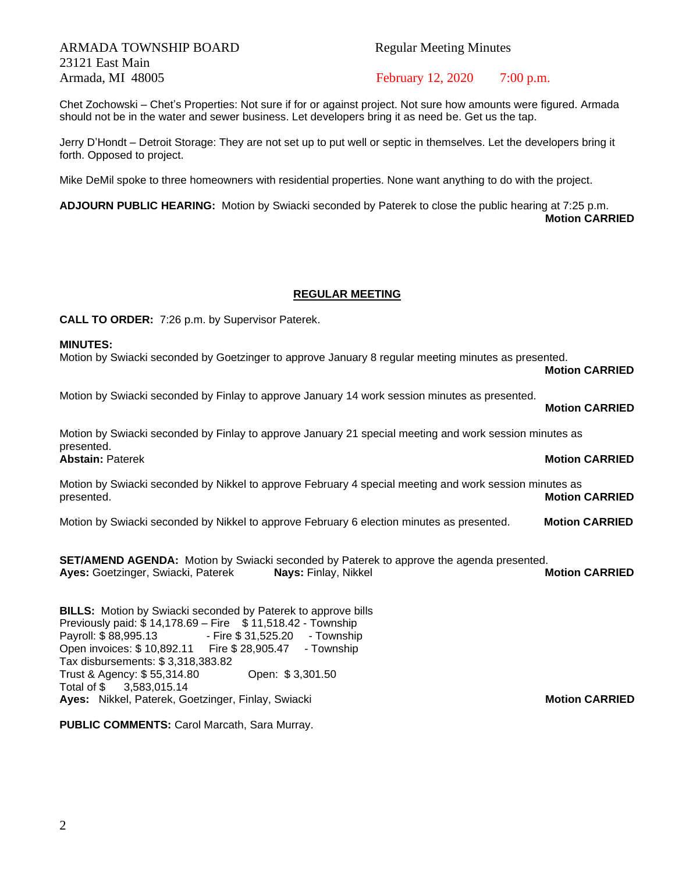# ARMADA TOWNSHIP BOARD Regular Meeting Minutes 23121 East Main Armada, MI 48005 February 12, 2020 7:00 p.m.

Chet Zochowski – Chet's Properties: Not sure if for or against project. Not sure how amounts were figured. Armada should not be in the water and sewer business. Let developers bring it as need be. Get us the tap.

Jerry D'Hondt – Detroit Storage: They are not set up to put well or septic in themselves. Let the developers bring it forth. Opposed to project.

Mike DeMil spoke to three homeowners with residential properties. None want anything to do with the project.

**ADJOURN PUBLIC HEARING:** Motion by Swiacki seconded by Paterek to close the public hearing at 7:25 p.m. **Motion CARRIED**

## **REGULAR MEETING**

**CALL TO ORDER:** 7:26 p.m. by Supervisor Paterek.

## **MINUTES:**

Motion by Swiacki seconded by Goetzinger to approve January 8 regular meeting minutes as presented.

**Motion CARRIED**

**Motion CARRIED**

Motion by Swiacki seconded by Finlay to approve January 14 work session minutes as presented.

Motion by Swiacki seconded by Finlay to approve January 21 special meeting and work session minutes as presented. **Abstain:** Paterek **Motion CARRIED** 

Motion by Swiacki seconded by Nikkel to approve February 4 special meeting and work session minutes as presented. **Motion CARRIED**

Motion by Swiacki seconded by Nikkel to approve February 6 election minutes as presented. **Motion CARRIED**

**SET/AMEND AGENDA:** Motion by Swiacki seconded by Paterek to approve the agenda presented. **Ayes:** Goetzinger, Swiacki, Paterek **Nays:** Finlay, Nikkel **Motion CARRIED**

**BILLS:** Motion by Swiacki seconded by Paterek to approve bills Previously paid:  $$14,178.69 - Fire$   $$11,518.42 - Township$ Payroll: \$88,995.13 - Fire \$31,525.20 - Township Open invoices: \$ 10,892.11 Fire \$ 28,905.47 - Township Tax disbursements: \$ 3,318,383.82 Trust & Agency: \$ 55,314.80 Open: \$ 3,301.50 Total of \$ 3,583,015.14 **Ayes: Nikkel, Paterek, Goetzinger, Finlay, Swiacki Music Communisty Communisty Communisty CARRIED** 

**PUBLIC COMMENTS:** Carol Marcath, Sara Murray.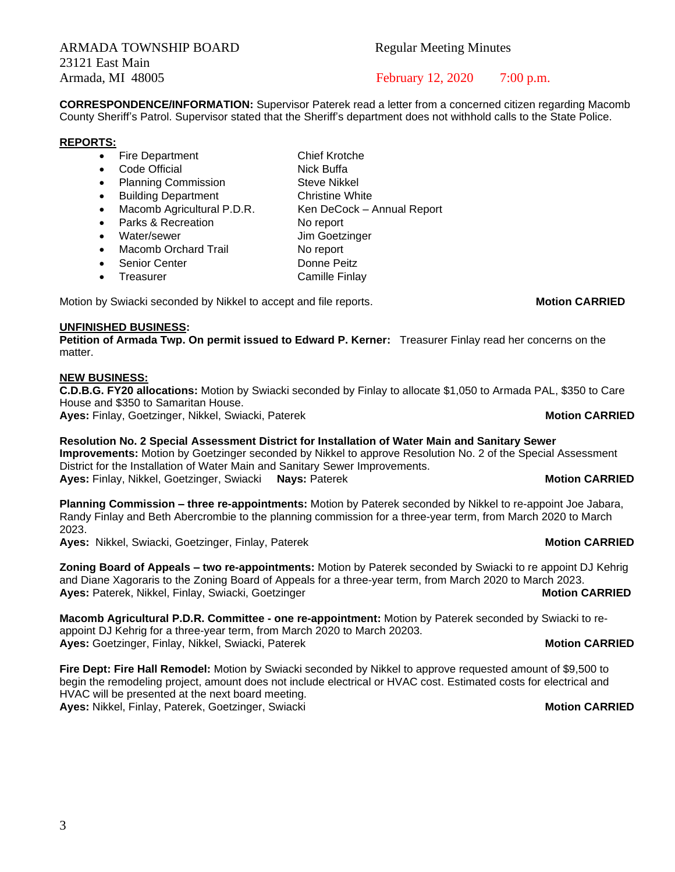ARMADA TOWNSHIP BOARD Regular Meeting Minutes 23121 East Main

Armada, MI 48005 February 12, 2020 7:00 p.m.

**CORRESPONDENCE/INFORMATION:** Supervisor Paterek read a letter from a concerned citizen regarding Macomb County Sheriff's Patrol. Supervisor stated that the Sheriff's department does not withhold calls to the State Police.

## **REPORTS:**

- Fire Department Chief Krotche
- Code Official Nick Buffa
- Planning Commission Steve Nikkel
- Building Department Christine White
- Macomb Agricultural P.D.R. Ken DeCock Annual Report
- Parks & Recreation No report
- Water/sewer **Jim Goetzinger**
- Macomb Orchard Trail No report
- Senior Center **Donne Peitz**
- **Freasurer Camille Finlay**

Motion by Swiacki seconded by Nikkel to accept and file reports. **Motion CARRIED** 

# **UNFINISHED BUSINESS:**

**Petition of Armada Twp. On permit issued to Edward P. Kerner:** Treasurer Finlay read her concerns on the matter.

# **NEW BUSINESS:**

**C.D.B.G. FY20 allocations:** Motion by Swiacki seconded by Finlay to allocate \$1,050 to Armada PAL, \$350 to Care House and \$350 to Samaritan House.

**Ayes:** Finlay, Goetzinger, Nikkel, Swiacki, Paterek **Motion CARRIED**

**Resolution No. 2 Special Assessment District for Installation of Water Main and Sanitary Sewer Improvements:** Motion by Goetzinger seconded by Nikkel to approve Resolution No. 2 of the Special Assessment District for the Installation of Water Main and Sanitary Sewer Improvements. **Ayes:** Finlay, Nikkel, Goetzinger, Swiacki **Nays:** Paterek **Motion CARRIED**

**Planning Commission – three re-appointments:** Motion by Paterek seconded by Nikkel to re-appoint Joe Jabara, Randy Finlay and Beth Abercrombie to the planning commission for a three-year term, from March 2020 to March 2023.

**Ayes:** Nikkel, Swiacki, Goetzinger, Finlay, Paterek **Motion CARRIED Motion CARRIED** 

**Zoning Board of Appeals – two re-appointments:** Motion by Paterek seconded by Swiacki to re appoint DJ Kehrig and Diane Xagoraris to the Zoning Board of Appeals for a three-year term, from March 2020 to March 2023. **Ayes:** Paterek, Nikkel, Finlay, Swiacki, Goetzinger **Motion CARRIED Motion CARRIED** 

**Macomb Agricultural P.D.R. Committee - one re-appointment:** Motion by Paterek seconded by Swiacki to reappoint DJ Kehrig for a three-year term, from March 2020 to March 20203. **Ayes:** Goetzinger, Finlay, Nikkel, Swiacki, Paterek **Motion CARRIED Motion CARRIED** 

**Fire Dept: Fire Hall Remodel:** Motion by Swiacki seconded by Nikkel to approve requested amount of \$9,500 to begin the remodeling project, amount does not include electrical or HVAC cost. Estimated costs for electrical and HVAC will be presented at the next board meeting. **Ayes:** Nikkel, Finlay, Paterek, Goetzinger, Swiacki **Motion CARRIED**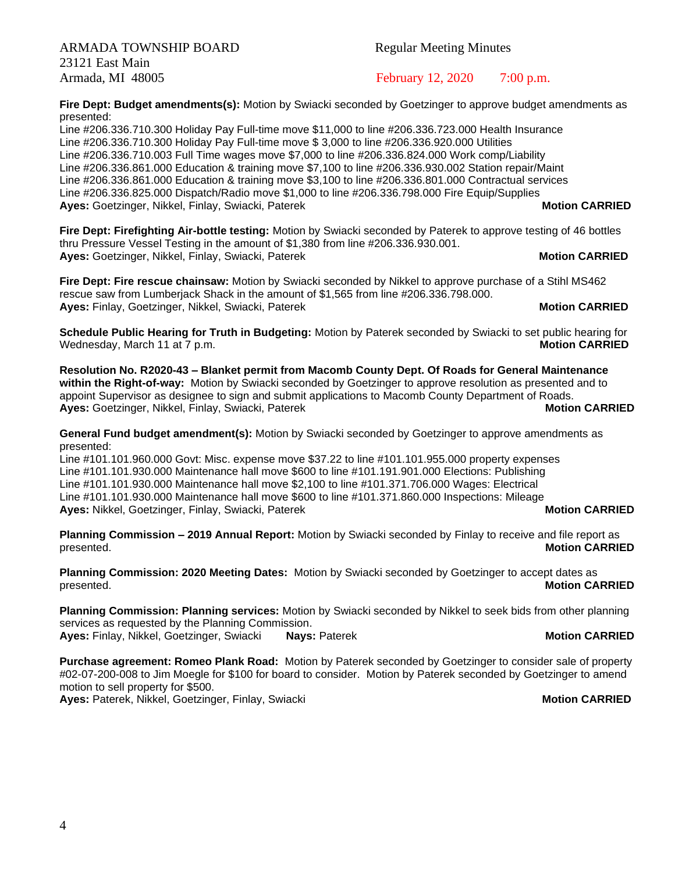ARMADA TOWNSHIP BOARD Regular Meeting Minutes 23121 East Main

**Fire Dept: Budget amendments(s):** Motion by Swiacki seconded by Goetzinger to approve budget amendments as presented:

Line #206.336.710.300 Holiday Pay Full-time move \$11,000 to line #206.336.723.000 Health Insurance Line #206.336.710.300 Holiday Pay Full-time move \$ 3,000 to line #206.336.920.000 Utilities Line #206.336.710.003 Full Time wages move \$7,000 to line #206.336.824.000 Work comp/Liability Line #206.336.861.000 Education & training move \$7,100 to line #206.336.930.002 Station repair/Maint Line #206.336.861.000 Education & training move \$3,100 to line #206.336.801.000 Contractual services Line #206.336.825.000 Dispatch/Radio move \$1,000 to line #206.336.798.000 Fire Equip/Supplies **Ayes:** Goetzinger, Nikkel, Finlay, Swiacki, Paterek **Motion CARRIED Motion CARRIED** 

**Fire Dept: Firefighting Air-bottle testing:** Motion by Swiacki seconded by Paterek to approve testing of 46 bottles thru Pressure Vessel Testing in the amount of \$1,380 from line #206.336.930.001. **Ayes:** Goetzinger, Nikkel, Finlay, Swiacki, Paterek **Motion CARRIED Motion CARRIED** 

**Fire Dept: Fire rescue chainsaw:** Motion by Swiacki seconded by Nikkel to approve purchase of a Stihl MS462 rescue saw from Lumberjack Shack in the amount of \$1,565 from line #206.336.798.000. **Ayes:** Finlay, Goetzinger, Nikkel, Swiacki, Paterek **Motion CARRIED Motion CARRIED** 

**Schedule Public Hearing for Truth in Budgeting:** Motion by Paterek seconded by Swiacki to set public hearing for Wednesday, March 11 at 7 p.m.

**Resolution No. R2020-43 – Blanket permit from Macomb County Dept. Of Roads for General Maintenance within the Right-of-way:** Motion by Swiacki seconded by Goetzinger to approve resolution as presented and to appoint Supervisor as designee to sign and submit applications to Macomb County Department of Roads. **Ayes:** Goetzinger, Nikkel, Finlay, Swiacki, Paterek **Motion CARRIED Motion CARRIED** 

**General Fund budget amendment(s):** Motion by Swiacki seconded by Goetzinger to approve amendments as presented:

Line #101.101.960.000 Govt: Misc. expense move \$37.22 to line #101.101.955.000 property expenses Line #101.101.930.000 Maintenance hall move \$600 to line #101.191.901.000 Elections: Publishing Line #101.101.930.000 Maintenance hall move \$2,100 to line #101.371.706.000 Wages: Electrical Line #101.101.930.000 Maintenance hall move \$600 to line #101.371.860.000 Inspections: Mileage **Ayes:** Nikkel, Goetzinger, Finlay, Swiacki, Paterek **Motion CARRIED Motion CARRIED** 

**Planning Commission – 2019 Annual Report:** Motion by Swiacki seconded by Finlay to receive and file report as presented. **Motion CARRIED**

**Planning Commission: 2020 Meeting Dates:** Motion by Swiacki seconded by Goetzinger to accept dates as presented. **Motion CARRIED**

**Planning Commission: Planning services:** Motion by Swiacki seconded by Nikkel to seek bids from other planning services as requested by the Planning Commission. **Ayes:** Finlay, Nikkel, Goetzinger, Swiacki **Nays:** Paterek **Motion CARRIED**

**Purchase agreement: Romeo Plank Road:** Motion by Paterek seconded by Goetzinger to consider sale of property #02-07-200-008 to Jim Moegle for \$100 for board to consider. Motion by Paterek seconded by Goetzinger to amend motion to sell property for \$500.

**Ayes: Paterek, Nikkel, Goetzinger, Finlay, Swiacki <b>Motion CARRIED Motion CARRIED** 

Armada, MI 48005 February 12, 2020 7:00 p.m.